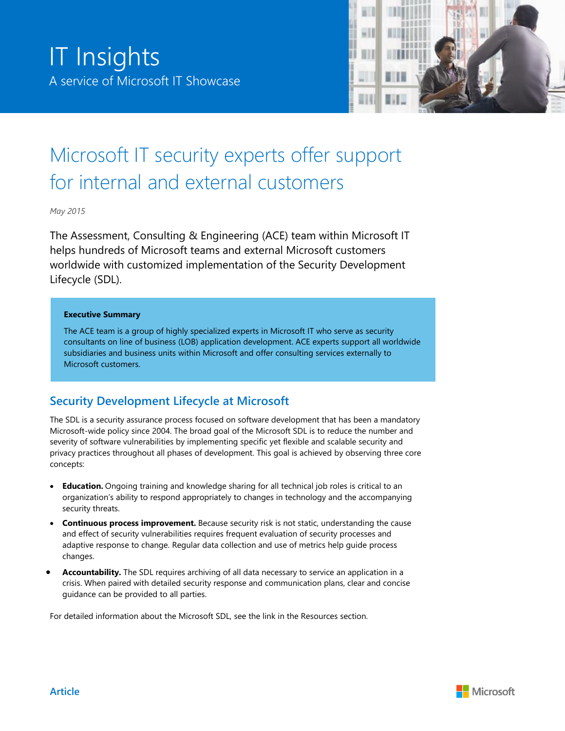

# Microsoft IT security experts offer support for internal and external customers

*May 2015*

The Assessment, Consulting & Engineering (ACE) team within Microsoft IT helps hundreds of Microsoft teams and external Microsoft customers worldwide with customized implementation of the Security Development Lifecycle (SDL).

#### **Executive Summary**

The ACE team is a group of highly specialized experts in Microsoft IT who serve as security consultants on line of business (LOB) application development. ACE experts support all worldwide subsidiaries and business units within Microsoft and offer consulting services externally to Microsoft customers.

# **Security Development Lifecycle at Microsoft**

The SDL is a security assurance process focused on software development that has been a mandatory Microsoft-wide policy since 2004. The broad goal of the Microsoft SDL is to reduce the number and severity of software vulnerabilities by implementing specific yet flexible and scalable security and privacy practices throughout all phases of development. This goal is achieved by observing three core concepts:

- **Education.** Ongoing training and knowledge sharing for all technical job roles is critical to an organization's ability to respond appropriately to changes in technology and the accompanying security threats.
- **Continuous process improvement.** Because security risk is not static, understanding the cause and effect of security vulnerabilities requires frequent evaluation of security processes and adaptive response to change. Regular data collection and use of metrics help guide process changes.
- **Accountability.** The SDL requires archiving of all data necessary to service an application in a crisis. When paired with detailed security response and communication plans, clear and concise guidance can be provided to all parties.

For detailed information about the Microsoft SDL, see the link in the Resources section.

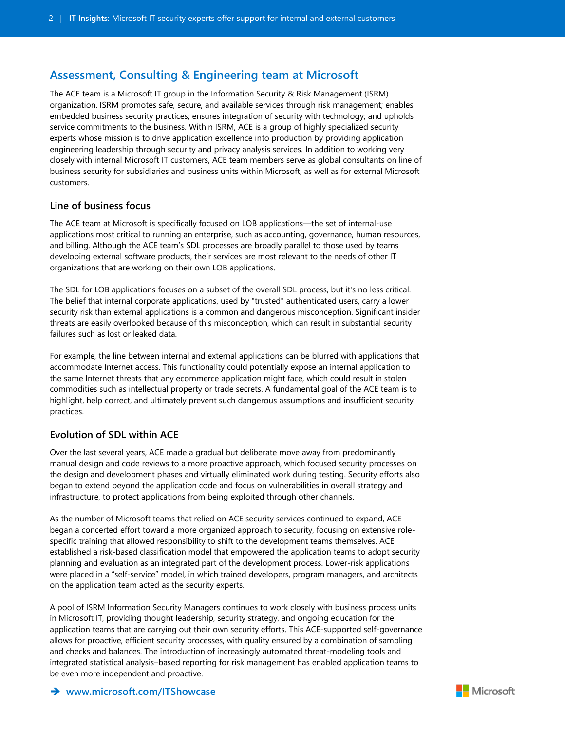# **Assessment, Consulting & Engineering team at Microsoft**

The ACE team is a Microsoft IT group in the Information Security & Risk Management (ISRM) organization. ISRM promotes safe, secure, and available services through risk management; enables embedded business security practices; ensures integration of security with technology; and upholds service commitments to the business. Within ISRM, ACE is a group of highly specialized security experts whose mission is to drive application excellence into production by providing application engineering leadership through security and privacy analysis services. In addition to working very closely with internal Microsoft IT customers, ACE team members serve as global consultants on line of business security for subsidiaries and business units within Microsoft, as well as for external Microsoft customers.

## **Line of business focus**

The ACE team at Microsoft is specifically focused on LOB applications—the set of internal-use applications most critical to running an enterprise, such as accounting, governance, human resources, and billing. Although the ACE team's SDL processes are broadly parallel to those used by teams developing external software products, their services are most relevant to the needs of other IT organizations that are working on their own LOB applications.

The SDL for LOB applications focuses on a subset of the overall SDL process, but it's no less critical. The belief that internal corporate applications, used by "trusted" authenticated users, carry a lower security risk than external applications is a common and dangerous misconception. Significant insider threats are easily overlooked because of this misconception, which can result in substantial security failures such as lost or leaked data.

For example, the line between internal and external applications can be blurred with applications that accommodate Internet access. This functionality could potentially expose an internal application to the same Internet threats that any ecommerce application might face, which could result in stolen commodities such as intellectual property or trade secrets. A fundamental goal of the ACE team is to highlight, help correct, and ultimately prevent such dangerous assumptions and insufficient security practices.

## **Evolution of SDL within ACE**

Over the last several years, ACE made a gradual but deliberate move away from predominantly manual design and code reviews to a more proactive approach, which focused security processes on the design and development phases and virtually eliminated work during testing. Security efforts also began to extend beyond the application code and focus on vulnerabilities in overall strategy and infrastructure, to protect applications from being exploited through other channels.

As the number of Microsoft teams that relied on ACE security services continued to expand, ACE began a concerted effort toward a more organized approach to security, focusing on extensive rolespecific training that allowed responsibility to shift to the development teams themselves. ACE established a risk-based classification model that empowered the application teams to adopt security planning and evaluation as an integrated part of the development process. Lower-risk applications were placed in a "self-service" model, in which trained developers, program managers, and architects on the application team acted as the security experts.

A pool of ISRM Information Security Managers continues to work closely with business process units in Microsoft IT, providing thought leadership, security strategy, and ongoing education for the application teams that are carrying out their own security efforts. This ACE-supported self-governance allows for proactive, efficient security processes, with quality ensured by a combination of sampling and checks and balances. The introduction of increasingly automated threat-modeling tools and integrated statistical analysis–based reporting for risk management has enabled application teams to be even more independent and proactive.

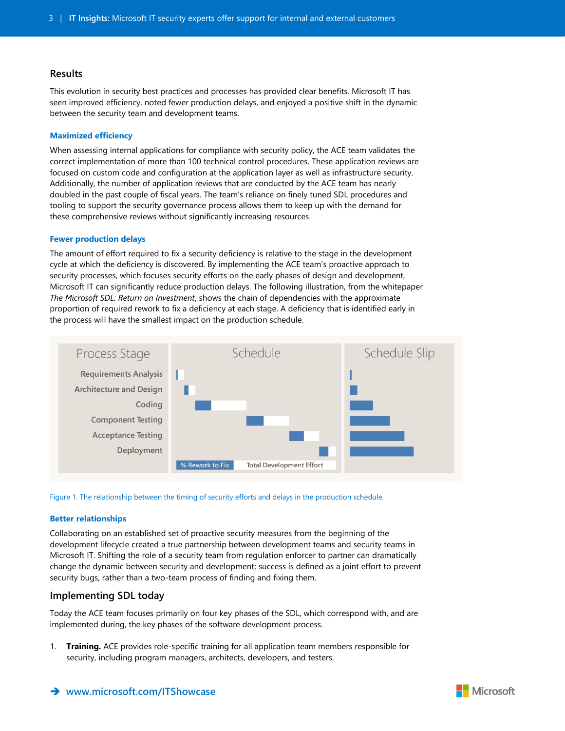## **Results**

This evolution in security best practices and processes has provided clear benefits. Microsoft IT has seen improved efficiency, noted fewer production delays, and enjoyed a positive shift in the dynamic between the security team and development teams.

#### **Maximized efficiency**

When assessing internal applications for compliance with security policy, the ACE team validates the correct implementation of more than 100 technical control procedures. These application reviews are focused on custom code and configuration at the application layer as well as infrastructure security. Additionally, the number of application reviews that are conducted by the ACE team has nearly doubled in the past couple of fiscal years. The team's reliance on finely tuned SDL procedures and tooling to support the security governance process allows them to keep up with the demand for these comprehensive reviews without significantly increasing resources.

#### **Fewer production delays**

The amount of effort required to fix a security deficiency is relative to the stage in the development cycle at which the deficiency is discovered. By implementing the ACE team's proactive approach to security processes, which focuses security efforts on the early phases of design and development, Microsoft IT can significantly reduce production delays. The following illustration, from the whitepaper *The Microsoft SDL: Return on Investment*, shows the chain of dependencies with the approximate proportion of required rework to fix a deficiency at each stage. A deficiency that is identified early in the process will have the smallest impact on the production schedule.



Figure 1. The relationship between the timing of security efforts and delays in the production schedule.

#### **Better relationships**

Collaborating on an established set of proactive security measures from the beginning of the development lifecycle created a true partnership between development teams and security teams in Microsoft IT. Shifting the role of a security team from regulation enforcer to partner can dramatically change the dynamic between security and development; success is defined as a joint effort to prevent security bugs, rather than a two-team process of finding and fixing them.

## **Implementing SDL today**

Today the ACE team focuses primarily on four key phases of the SDL, which correspond with, and are implemented during, the key phases of the software development process.

1. **Training.** ACE provides role-specific training for all application team members responsible for security, including program managers, architects, developers, and testers.

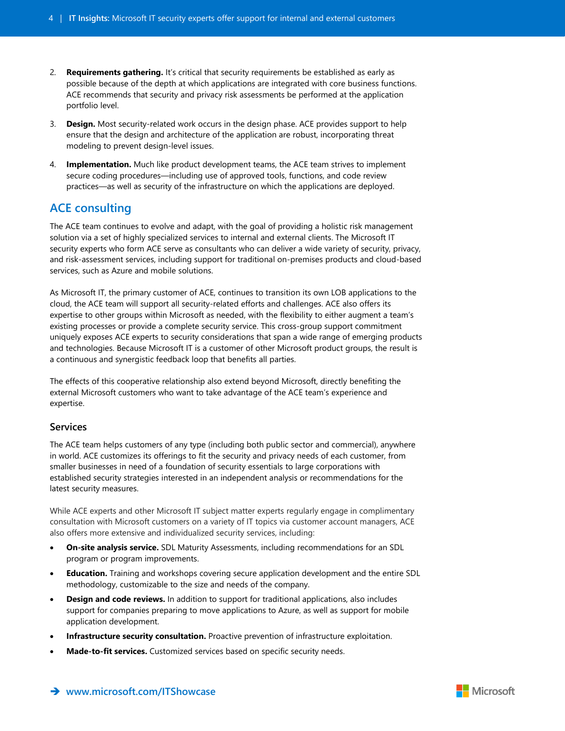- 2. **Requirements gathering.** It's critical that security requirements be established as early as possible because of the depth at which applications are integrated with core business functions. ACE recommends that security and privacy risk assessments be performed at the application portfolio level.
- 3. **Design.** Most security-related work occurs in the design phase. ACE provides support to help ensure that the design and architecture of the application are robust, incorporating threat modeling to prevent design-level issues.
- 4. **Implementation.** Much like product development teams, the ACE team strives to implement secure coding procedures—including use of approved tools, functions, and code review practices—as well as security of the infrastructure on which the applications are deployed.

# **ACE consulting**

The ACE team continues to evolve and adapt, with the goal of providing a holistic risk management solution via a set of highly specialized services to internal and external clients. The Microsoft IT security experts who form ACE serve as consultants who can deliver a wide variety of security, privacy, and risk-assessment services, including support for traditional on-premises products and cloud-based services, such as Azure and mobile solutions.

As Microsoft IT, the primary customer of ACE, continues to transition its own LOB applications to the cloud, the ACE team will support all security-related efforts and challenges. ACE also offers its expertise to other groups within Microsoft as needed, with the flexibility to either augment a team's existing processes or provide a complete security service. This cross-group support commitment uniquely exposes ACE experts to security considerations that span a wide range of emerging products and technologies. Because Microsoft IT is a customer of other Microsoft product groups, the result is a continuous and synergistic feedback loop that benefits all parties.

The effects of this cooperative relationship also extend beyond Microsoft, directly benefiting the external Microsoft customers who want to take advantage of the ACE team's experience and expertise.

## **Services**

The ACE team helps customers of any type (including both public sector and commercial), anywhere in world. ACE customizes its offerings to fit the security and privacy needs of each customer, from smaller businesses in need of a foundation of security essentials to large corporations with established security strategies interested in an independent analysis or recommendations for the latest security measures.

While ACE experts and other Microsoft IT subject matter experts regularly engage in complimentary consultation with Microsoft customers on a variety of IT topics via customer account managers, ACE also offers more extensive and individualized security services, including:

- **On-site analysis service.** SDL Maturity Assessments, including recommendations for an SDL program or program improvements.
- **Education.** Training and workshops covering secure application development and the entire SDL methodology, customizable to the size and needs of the company.
- **Design and code reviews.** In addition to support for traditional applications, also includes support for companies preparing to move applications to Azure, as well as support for mobile application development.
- **Infrastructure security consultation.** Proactive prevention of infrastructure exploitation.
- **Made-to-fit services.** Customized services based on specific security needs.